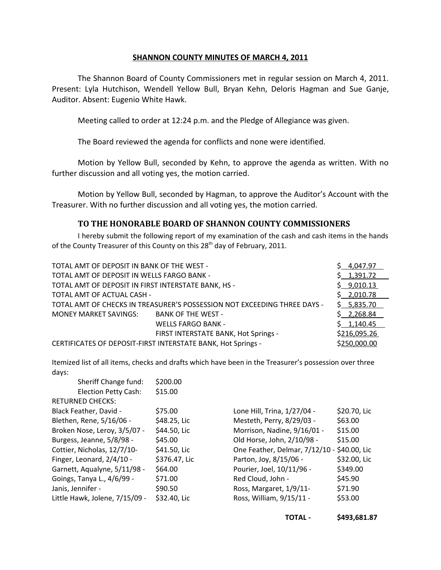## **SHANNON COUNTY MINUTES OF MARCH 4, 2011**

The Shannon Board of County Commissioners met in regular session on March 4, 2011. Present: Lyla Hutchison, Wendell Yellow Bull, Bryan Kehn, Deloris Hagman and Sue Ganje, Auditor. Absent: Eugenio White Hawk.

Meeting called to order at 12:24 p.m. and the Pledge of Allegiance was given.

The Board reviewed the agenda for conflicts and none were identified.

Motion by Yellow Bull, seconded by Kehn, to approve the agenda as written. With no further discussion and all voting yes, the motion carried.

Motion by Yellow Bull, seconded by Hagman, to approve the Auditor's Account with the Treasurer. With no further discussion and all voting yes, the motion carried.

## **TO THE HONORABLE BOARD OF SHANNON COUNTY COMMISSIONERS**

I hereby submit the following report of my examination of the cash and cash items in the hands of the County Treasurer of this County on this 28<sup>th</sup> day of February, 2011.

| TOTAL AMT OF DEPOSIT IN BANK OF THE WEST -                               |                                      | \$4,047.97   |
|--------------------------------------------------------------------------|--------------------------------------|--------------|
| TOTAL AMT OF DEPOSIT IN WELLS FARGO BANK -                               |                                      | \$1,391.72   |
| TOTAL AMT OF DEPOSIT IN FIRST INTERSTATE BANK, HS -                      |                                      | \$9,010.13   |
| TOTAL AMT OF ACTUAL CASH -                                               |                                      | \$2,010.78   |
| TOTAL AMT OF CHECKS IN TREASURER'S POSSESSION NOT EXCEEDING THREE DAYS - |                                      | \$5,835.70   |
| <b>MONEY MARKET SAVINGS:</b>                                             | <b>BANK OF THE WEST -</b>            | \$2,268.84   |
|                                                                          | <b>WELLS FARGO BANK -</b>            | \$1,140.45   |
|                                                                          | FIRST INTERSTATE BANK, Hot Springs - | \$216,095.26 |
| CERTIFICATES OF DEPOSIT-FIRST INTERSTATE BANK, Hot Springs -             | \$250,000.00                         |              |

Itemized list of all items, checks and drafts which have been in the Treasurer's possession over three days:  $\frac{1}{2}$  Sheriff Change fund  $\frac{1}{2}$ 

| Sheriff Change fund:           | \$200.00      |                                             |              |
|--------------------------------|---------------|---------------------------------------------|--------------|
| <b>Election Petty Cash:</b>    | \$15.00       |                                             |              |
| <b>RETURNED CHECKS:</b>        |               |                                             |              |
| Black Feather, David -         | \$75.00       | Lone Hill, Trina, 1/27/04 -                 | \$20.70, Lic |
| Blethen, Rene, 5/16/06 -       | \$48.25, Lic  | Mesteth, Perry, 8/29/03 -                   | \$63.00      |
| Broken Nose, Leroy, 3/5/07 -   | \$44.50, Lic  | Morrison, Nadine, 9/16/01 -                 | \$15.00      |
| Burgess, Jeanne, 5/8/98 -      | \$45.00       | Old Horse, John, 2/10/98 -                  | \$15.00      |
| Cottier, Nicholas, 12/7/10-    | \$41.50, Lic  | One Feather, Delmar, 7/12/10 - \$40.00, Lic |              |
| Finger, Leonard, 2/4/10 -      | \$376.47, Lic | Parton, Joy, 8/15/06 -                      | \$32.00, Lic |
| Garnett, Aqualyne, 5/11/98 -   | \$64.00       | Pourier, Joel, 10/11/96 -                   | \$349.00     |
| Goings, Tanya L., 4/6/99 -     | \$71.00       | Red Cloud, John -                           | \$45.90      |
| Janis, Jennifer -              | \$90.50       | Ross, Margaret, 1/9/11-                     | \$71.90      |
| Little Hawk, Jolene, 7/15/09 - | \$32.40, Lic  | Ross, William, 9/15/11 -                    | \$53.00      |
|                                |               |                                             |              |

**TOTAL - \$493,681.87**

\$20.70, Lic

\$32.00, Lic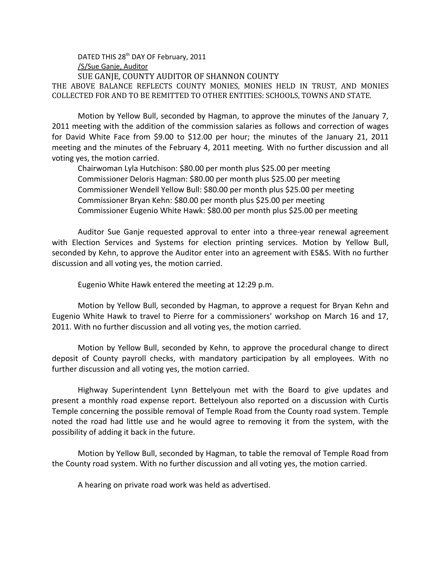DATED THIS 28<sup>th</sup> DAY OF February, 2011 /S/Sue Ganje, Auditor

 SUE GANJE, COUNTY AUDITOR OF SHANNON COUNTY THE ABOVE BALANCE REFLECTS COUNTY MONIES, MONIES HELD IN TRUST, AND MONIES COLLECTED FOR AND TO BE REMITTED TO OTHER ENTITIES: SCHOOLS, TOWNS AND STATE.

Motion by Yellow Bull, seconded by Hagman, to approve the minutes of the January 7, 2011 meeting with the addition of the commission salaries as follows and correction of wages for David White Face from \$9.00 to \$12.00 per hour; the minutes of the January 21, 2011 meeting and the minutes of the February 4, 2011 meeting. With no further discussion and all voting yes, the motion carried.

Chairwoman Lyla Hutchison: \$80.00 per month plus \$25.00 per meeting Commissioner Deloris Hagman: \$80.00 per month plus \$25.00 per meeting Commissioner Wendell Yellow Bull: \$80.00 per month plus \$25.00 per meeting Commissioner Bryan Kehn: \$80.00 per month plus \$25.00 per meeting Commissioner Eugenio White Hawk: \$80.00 per month plus \$25.00 per meeting

Auditor Sue Ganje requested approval to enter into a three-year renewal agreement with Election Services and Systems for election printing services. Motion by Yellow Bull, seconded by Kehn, to approve the Auditor enter into an agreement with ES&S. With no further discussion and all voting yes, the motion carried.

Eugenio White Hawk entered the meeting at 12:29 p.m.

Motion by Yellow Bull, seconded by Hagman, to approve a request for Bryan Kehn and Eugenio White Hawk to travel to Pierre for a commissioners' workshop on March 16 and 17, 2011. With no further discussion and all voting yes, the motion carried.

Motion by Yellow Bull, seconded by Kehn, to approve the procedural change to direct deposit of County payroll checks, with mandatory participation by all employees. With no further discussion and all voting yes, the motion carried.

Highway Superintendent Lynn Bettelyoun met with the Board to give updates and present a monthly road expense report. Bettelyoun also reported on a discussion with Curtis Temple concerning the possible removal of Temple Road from the County road system. Temple noted the road had little use and he would agree to removing it from the system, with the possibility of adding it back in the future.

Motion by Yellow Bull, seconded by Hagman, to table the removal of Temple Road from the County road system. With no further discussion and all voting yes, the motion carried.

A hearing on private road work was held as advertised.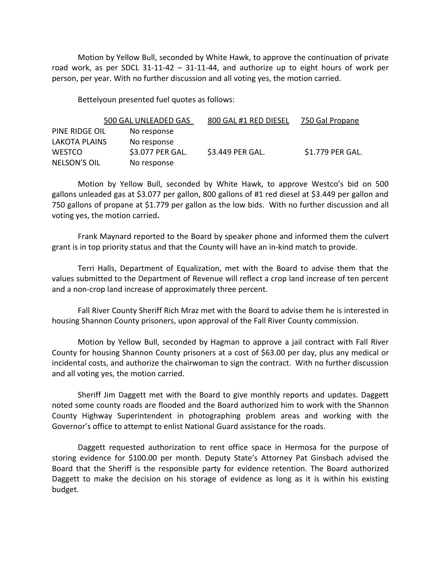Motion by Yellow Bull, seconded by White Hawk, to approve the continuation of private road work, as per SDCL 31-11-42 – 31-11-44, and authorize up to eight hours of work per person, per year. With no further discussion and all voting yes, the motion carried.

Bettelyoun presented fuel quotes as follows:

|                     | 500 GAL UNLEADED GAS | 800 GAL #1 RED DIESEL | 750 Gal Propane  |
|---------------------|----------------------|-----------------------|------------------|
| PINE RIDGE OIL      | No response          |                       |                  |
| LAKOTA PLAINS       | No response          |                       |                  |
| <b>WESTCO</b>       | \$3.077 PER GAL.     | \$3.449 PER GAL.      | \$1.779 PER GAL. |
| <b>NELSON'S OIL</b> | No response          |                       |                  |

Motion by Yellow Bull, seconded by White Hawk, to approve Westco's bid on 500 gallons unleaded gas at \$3.077 per gallon, 800 gallons of #1 red diesel at \$3.449 per gallon and 750 gallons of propane at \$1.779 per gallon as the low bids. With no further discussion and all voting yes, the motion carried**.**

Frank Maynard reported to the Board by speaker phone and informed them the culvert grant is in top priority status and that the County will have an in-kind match to provide.

Terri Halls, Department of Equalization, met with the Board to advise them that the values submitted to the Department of Revenue will reflect a crop land increase of ten percent and a non-crop land increase of approximately three percent.

Fall River County Sheriff Rich Mraz met with the Board to advise them he is interested in housing Shannon County prisoners, upon approval of the Fall River County commission.

Motion by Yellow Bull, seconded by Hagman to approve a jail contract with Fall River County for housing Shannon County prisoners at a cost of \$63.00 per day, plus any medical or incidental costs, and authorize the chairwoman to sign the contract. With no further discussion and all voting yes, the motion carried.

Sheriff Jim Daggett met with the Board to give monthly reports and updates. Daggett noted some county roads are flooded and the Board authorized him to work with the Shannon County Highway Superintendent in photographing problem areas and working with the Governor's office to attempt to enlist National Guard assistance for the roads.

Daggett requested authorization to rent office space in Hermosa for the purpose of storing evidence for \$100.00 per month. Deputy State's Attorney Pat Ginsbach advised the Board that the Sheriff is the responsible party for evidence retention. The Board authorized Daggett to make the decision on his storage of evidence as long as it is within his existing budget.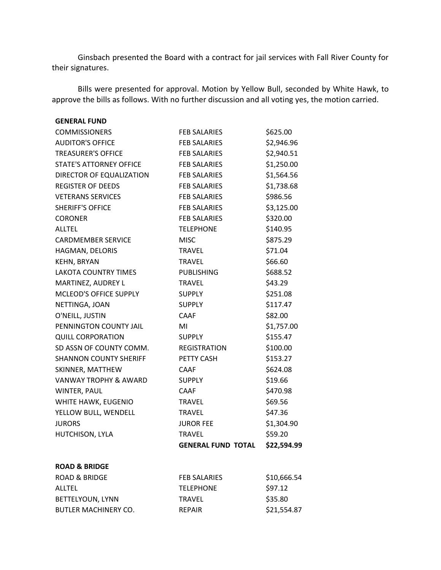Ginsbach presented the Board with a contract for jail services with Fall River County for their signatures.

Bills were presented for approval. Motion by Yellow Bull, seconded by White Hawk, to approve the bills as follows. With no further discussion and all voting yes, the motion carried.

| <b>GENERAL FUND</b>              |                           |             |
|----------------------------------|---------------------------|-------------|
| <b>COMMISSIONERS</b>             | <b>FEB SALARIES</b>       | \$625.00    |
| <b>AUDITOR'S OFFICE</b>          | <b>FEB SALARIES</b>       | \$2,946.96  |
| <b>TREASURER'S OFFICE</b>        | <b>FEB SALARIES</b>       | \$2,940.51  |
| <b>STATE'S ATTORNEY OFFICE</b>   | <b>FEB SALARIES</b>       | \$1,250.00  |
| DIRECTOR OF EQUALIZATION         | <b>FEB SALARIES</b>       | \$1,564.56  |
| <b>REGISTER OF DEEDS</b>         | <b>FEB SALARIES</b>       | \$1,738.68  |
| <b>VETERANS SERVICES</b>         | <b>FEB SALARIES</b>       | \$986.56    |
| <b>SHERIFF'S OFFICE</b>          | <b>FEB SALARIES</b>       | \$3,125.00  |
| <b>CORONER</b>                   | <b>FEB SALARIES</b>       | \$320.00    |
| <b>ALLTEL</b>                    | <b>TELEPHONE</b>          | \$140.95    |
| <b>CARDMEMBER SERVICE</b>        | <b>MISC</b>               | \$875.29    |
| HAGMAN, DELORIS                  | <b>TRAVEL</b>             | \$71.04     |
| <b>KEHN, BRYAN</b>               | <b>TRAVEL</b>             | \$66.60     |
| <b>LAKOTA COUNTRY TIMES</b>      | <b>PUBLISHING</b>         | \$688.52    |
| MARTINEZ, AUDREY L               | <b>TRAVEL</b>             | \$43.29     |
| MCLEOD'S OFFICE SUPPLY           | <b>SUPPLY</b>             | \$251.08    |
| NETTINGA, JOAN                   | <b>SUPPLY</b>             | \$117.47    |
| O'NEILL, JUSTIN                  | <b>CAAF</b>               | \$82.00     |
| PENNINGTON COUNTY JAIL           | MI                        | \$1,757.00  |
| <b>QUILL CORPORATION</b>         | <b>SUPPLY</b>             | \$155.47    |
| SD ASSN OF COUNTY COMM.          | REGISTRATION              | \$100.00    |
| <b>SHANNON COUNTY SHERIFF</b>    | PETTY CASH                | \$153.27    |
| SKINNER, MATTHEW                 | <b>CAAF</b>               | \$624.08    |
| <b>VANWAY TROPHY &amp; AWARD</b> | <b>SUPPLY</b>             | \$19.66     |
| WINTER, PAUL                     | <b>CAAF</b>               | \$470.98    |
| WHITE HAWK, EUGENIO              | <b>TRAVEL</b>             | \$69.56     |
| YELLOW BULL, WENDELL             | <b>TRAVEL</b>             | \$47.36     |
| <b>JURORS</b>                    | <b>JUROR FEE</b>          | \$1,304.90  |
| HUTCHISON, LYLA                  | <b>TRAVEL</b>             | \$59.20     |
|                                  | <b>GENERAL FUND TOTAL</b> | \$22,594.99 |
| <b>ROAD &amp; BRIDGE</b>         |                           |             |
| <b>ROAD &amp; BRIDGE</b>         | <b>FEB SALARIES</b>       | \$10,666.54 |
| <b>ALLTEL</b>                    | <b>TELEPHONE</b>          | \$97.12     |
| <b>BETTELYOUN, LYNN</b>          | <b>TRAVEL</b>             | \$35.80     |
| BUTLER MACHINERY CO.             | <b>REPAIR</b>             | \$21,554.87 |